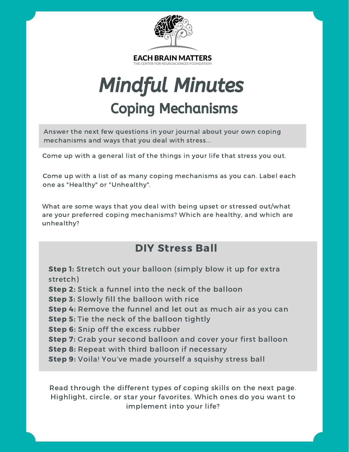

# Mindful Minutes Coping Mechanisms

Answer the next few questions in your journal about your own coping mechanisms and ways that you deal with stress...

Come up with a general list of the things in your life that stress you out.

Come up with a list of as many coping mechanisms as you can. Label each one as "Healthy" or "Unhealthy".

What are some ways that you deal with being upset or stressed out/what are your preferred coping mechanisms? Which are healthy, and which are unhealthy?

#### DIY Stress Ball

Step 1: Stretch out your balloon (simply blow it up for extra stretch) Step 2: Stick a funnel into the neck of the balloon Step 3: Slowly fill the balloon with rice Step 4: Remove the funnel and let out as much air as you can Step 5: Tie the neck of the balloon tightly Step 6: Snip off the excess rubber Step 7: Grab your second balloon and cover your first balloon Step 8: Repeat with third balloon if necessary Step 9: Voila! You've made yourself a squishy stress ball

Read through the different types of coping skills on the next page. Highlight, circle, or star your favorites. Which ones do you want to implement into your life?